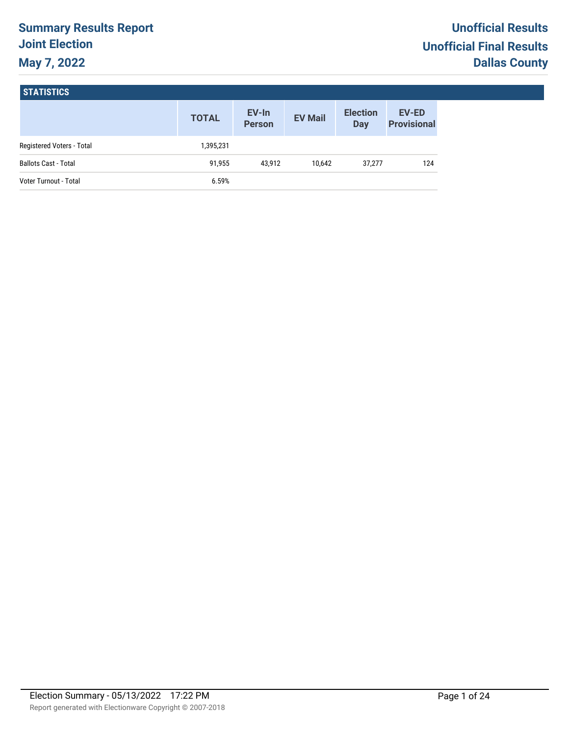# **Summary Results Report Joint Election May 7, 2022**

# **STATISTICS**

|                             | <b>TOTAL</b> | EV-In<br><b>Person</b> | <b>EV Mail</b> | <b>Election</b><br><b>Day</b> | <b>EV-ED</b><br><b>Provisional</b> |
|-----------------------------|--------------|------------------------|----------------|-------------------------------|------------------------------------|
| Registered Voters - Total   | 1,395,231    |                        |                |                               |                                    |
| <b>Ballots Cast - Total</b> | 91,955       | 43.912                 | 10.642         | 37,277                        | 124                                |
| Voter Turnout - Total       | 6.59%        |                        |                |                               |                                    |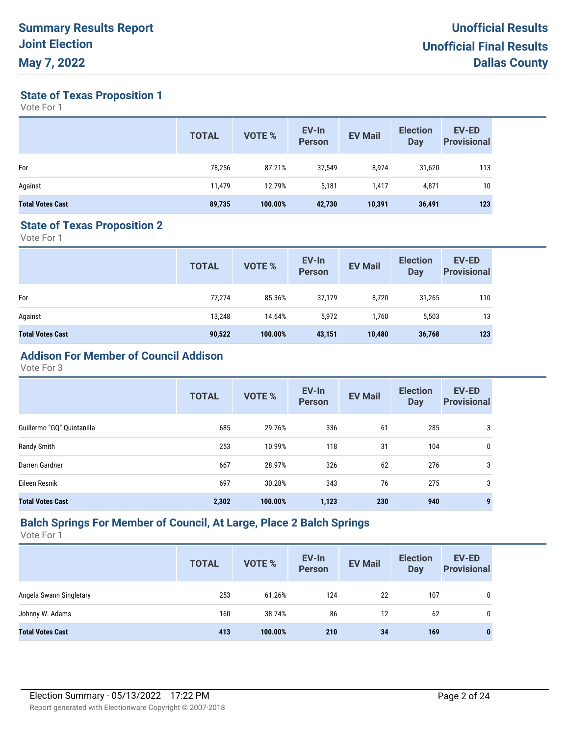**State of Texas Proposition 1**

Vote For 1

|                         | <b>TOTAL</b> | <b>VOTE %</b> | EV-In<br><b>Person</b> | <b>EV Mail</b> | <b>Election</b><br><b>Day</b> | <b>EV-ED</b><br><b>Provisional</b> |
|-------------------------|--------------|---------------|------------------------|----------------|-------------------------------|------------------------------------|
| For                     | 78,256       | 87.21%        | 37,549                 | 8.974          | 31,620                        | 113                                |
| Against                 | 11,479       | 12.79%        | 5,181                  | 1.417          | 4,871                         | 10                                 |
| <b>Total Votes Cast</b> | 89,735       | 100.00%       | 42,730                 | 10,391         | 36,491                        | 123                                |

#### **State of Texas Proposition 2**

Vote For 1

|                         | <b>TOTAL</b> | VOTE %  | EV-In<br>Person | <b>EV Mail</b> | <b>Election</b><br><b>Day</b> | <b>EV-ED</b><br><b>Provisional</b> |
|-------------------------|--------------|---------|-----------------|----------------|-------------------------------|------------------------------------|
| For                     | 77,274       | 85.36%  | 37,179          | 8,720          | 31,265                        | 110                                |
| Against                 | 13.248       | 14.64%  | 5,972           | 1,760          | 5,503                         | 13                                 |
| <b>Total Votes Cast</b> | 90,522       | 100.00% | 43,151          | 10,480         | 36,768                        | 123                                |

# **Addison For Member of Council Addison**

Vote For 3

|                            | <b>TOTAL</b> | VOTE %  | EV-In<br><b>Person</b> | <b>EV Mail</b> | <b>Election</b><br><b>Day</b> | <b>EV-ED</b><br><b>Provisional</b> |
|----------------------------|--------------|---------|------------------------|----------------|-------------------------------|------------------------------------|
| Guillermo "GQ" Quintanilla | 685          | 29.76%  | 336                    | 61             | 285                           | 3                                  |
| Randy Smith                | 253          | 10.99%  | 118                    | 31             | 104                           | 0                                  |
| Darren Gardner             | 667          | 28.97%  | 326                    | 62             | 276                           | 3                                  |
| Eileen Resnik              | 697          | 30.28%  | 343                    | 76             | 275                           | 3                                  |
| <b>Total Votes Cast</b>    | 2,302        | 100.00% | 1,123                  | 230            | 940                           | 9                                  |

#### **Balch Springs For Member of Council, At Large, Place 2 Balch Springs**

|                         | <b>TOTAL</b> | <b>VOTE %</b> | EV-In<br><b>Person</b> | <b>EV Mail</b> | <b>Election</b><br><b>Day</b> | <b>EV-ED</b><br><b>Provisional</b> |
|-------------------------|--------------|---------------|------------------------|----------------|-------------------------------|------------------------------------|
| Angela Swann Singletary | 253          | 61.26%        | 124                    | 22             | 107                           | 0                                  |
| Johnny W. Adams         | 160          | 38.74%        | 86                     | 12             | 62                            | 0                                  |
| <b>Total Votes Cast</b> | 413          | 100.00%       | 210                    | 34             | 169                           | 0                                  |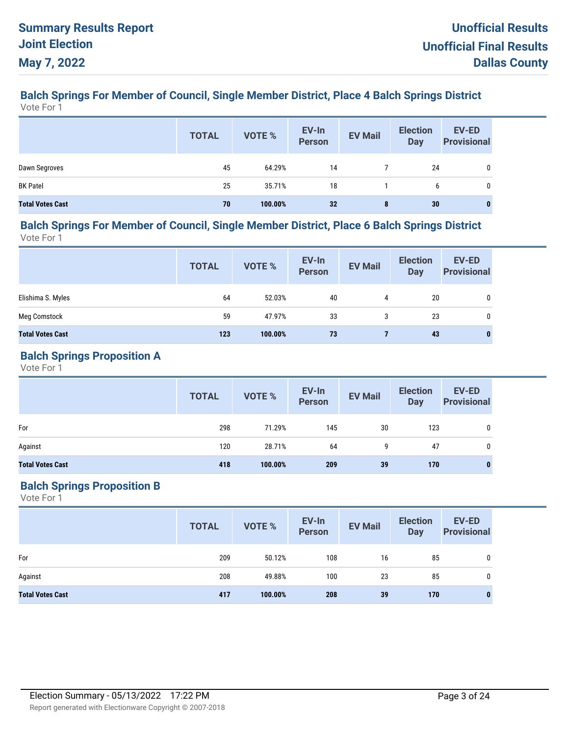#### **Balch Springs For Member of Council, Single Member District, Place 4 Balch Springs District** Vote For 1

|                         | <b>TOTAL</b> | VOTE %  | EV-In<br>Person | <b>EV Mail</b> | <b>Election</b><br><b>Day</b> | <b>EV-ED</b><br><b>Provisional</b> |
|-------------------------|--------------|---------|-----------------|----------------|-------------------------------|------------------------------------|
| Dawn Segroves           | 45           | 64.29%  | 14              |                | 24                            |                                    |
| <b>BK Patel</b>         | 25           | 35.71%  | 18              |                | 6                             | 0                                  |
| <b>Total Votes Cast</b> | 70           | 100.00% | 32              | 8              | 30                            | $\bf{0}$                           |

#### **Balch Springs For Member of Council, Single Member District, Place 6 Balch Springs District** Vote For 1

**EV-In Person Election Day TOTAL EV Mail EV-ED Provisional EV-In**<br> **Provisional** EV Mail Day Provisional Elishima S. Myles 64 52.03% 40 4 20 0 Meg Comstock 59 47.97% 33 3 23 0 **Total Votes Cast 123 100.00% 73 7 43 0**

#### **Balch Springs Proposition A**

Vote For 1

|                         | <b>TOTAL</b> | VOTE %  | EV-In<br>Person | <b>EV Mail</b> | <b>Election</b><br>Day | <b>EV-ED</b><br><b>Provisional</b> |
|-------------------------|--------------|---------|-----------------|----------------|------------------------|------------------------------------|
| For                     | 298          | 71.29%  | 145             | 30             | 123                    | 0                                  |
| Against                 | 120          | 28.71%  | 64              | 9              | 47                     | 0                                  |
| <b>Total Votes Cast</b> | 418          | 100.00% | 209             | 39             | 170                    | $\bf{0}$                           |

## **Balch Springs Proposition B**

|                         | <b>TOTAL</b> | VOTE %  | EV-In<br>Person | <b>EV Mail</b> | <b>Election</b><br><b>Day</b> | <b>EV-ED</b><br><b>Provisional</b> |
|-------------------------|--------------|---------|-----------------|----------------|-------------------------------|------------------------------------|
| For                     | 209          | 50.12%  | 108             | 16             | 85                            | 0                                  |
| Against                 | 208          | 49.88%  | 100             | 23             | 85                            | 0                                  |
| <b>Total Votes Cast</b> | 417          | 100.00% | 208             | 39             | 170                           | $\bf{0}$                           |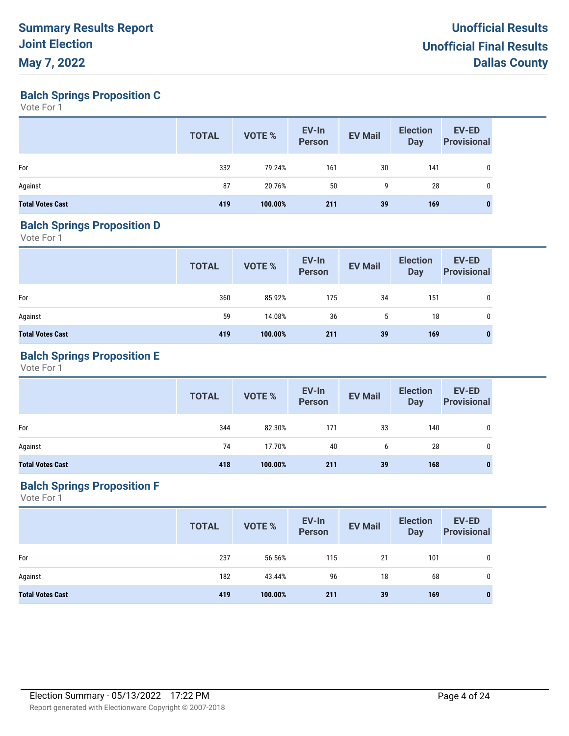**Balch Springs Proposition C**

Vote For 1

|                         | <b>TOTAL</b> | VOTE %  | EV-In<br><b>Person</b> | <b>EV Mail</b> | <b>Election</b><br><b>Day</b> | <b>EV-ED</b><br><b>Provisional</b> |
|-------------------------|--------------|---------|------------------------|----------------|-------------------------------|------------------------------------|
| For                     | 332          | 79.24%  | 161                    | 30             | 141                           | 0                                  |
| Against                 | 87           | 20.76%  | 50                     | 9              | 28                            | 0                                  |
| <b>Total Votes Cast</b> | 419          | 100.00% | 211                    | 39             | 169                           | 0                                  |

## **Balch Springs Proposition D**

Vote For 1

|                         | <b>TOTAL</b> | VOTE %  | EV-In<br>Person | <b>EV Mail</b> | <b>Election</b><br>Day | EV-ED<br><b>Provisional</b> |
|-------------------------|--------------|---------|-----------------|----------------|------------------------|-----------------------------|
| For                     | 360          | 85.92%  | 175             | 34             | 151                    | 0                           |
| Against                 | 59           | 14.08%  | 36              | 5              | 18                     | 0                           |
| <b>Total Votes Cast</b> | 419          | 100.00% | 211             | 39             | 169                    | 0                           |

# **Balch Springs Proposition E**

Vote For 1

|                         | <b>TOTAL</b> | VOTE %  | EV-In<br>Person | <b>EV Mail</b> | <b>Election</b><br>Day | <b>EV-ED</b><br>Provisional |
|-------------------------|--------------|---------|-----------------|----------------|------------------------|-----------------------------|
| For                     | 344          | 82.30%  | 171             | 33             | 140                    | 0                           |
| Against                 | 74           | 17.70%  | 40              | 6              | 28                     | $\mathbf{0}$                |
| <b>Total Votes Cast</b> | 418          | 100.00% | 211             | 39             | 168                    |                             |

## **Balch Springs Proposition F**

|                         | <b>TOTAL</b> | VOTE %  | EV-In<br>Person | <b>EV Mail</b> | <b>Election</b><br>Day | <b>EV-ED</b><br><b>Provisional</b> |
|-------------------------|--------------|---------|-----------------|----------------|------------------------|------------------------------------|
| For                     | 237          | 56.56%  | 115             | 21             | 101                    | 0                                  |
| Against                 | 182          | 43.44%  | 96              | 18             | 68                     | 0                                  |
| <b>Total Votes Cast</b> | 419          | 100.00% | 211             | 39             | 169                    | $\bf{0}$                           |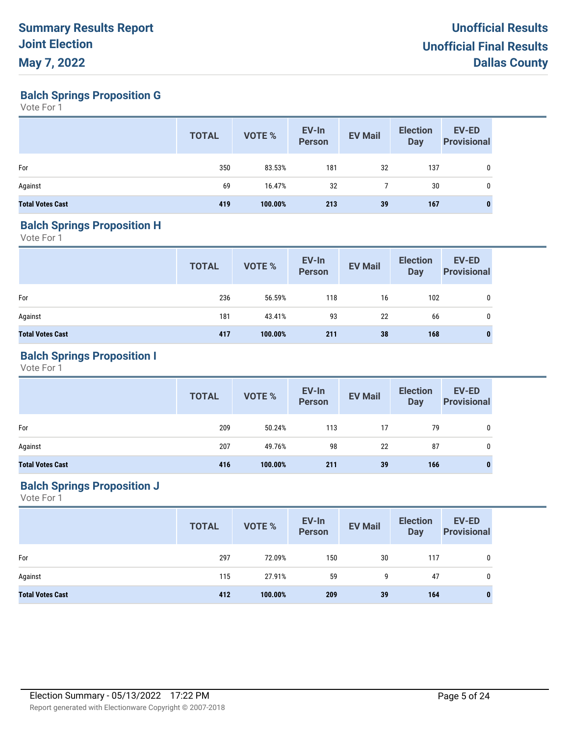**Balch Springs Proposition G**

Vote For 1

|                         | <b>TOTAL</b> | VOTE %  | EV-In<br><b>Person</b> | <b>EV Mail</b> | <b>Election</b><br><b>Day</b> | <b>EV-ED</b><br><b>Provisional</b> |
|-------------------------|--------------|---------|------------------------|----------------|-------------------------------|------------------------------------|
| For                     | 350          | 83.53%  | 181                    | 32             | 137                           | 0                                  |
| Against                 | 69           | 16.47%  | 32                     |                | 30                            | 0                                  |
| <b>Total Votes Cast</b> | 419          | 100.00% | 213                    | 39             | 167                           | 0                                  |

## **Balch Springs Proposition H**

Vote For 1

|                         | <b>TOTAL</b> | VOTE %  | EV-In<br>Person | <b>EV Mail</b> | <b>Election</b><br>Day | EV-ED<br><b>Provisional</b> |
|-------------------------|--------------|---------|-----------------|----------------|------------------------|-----------------------------|
| For                     | 236          | 56.59%  | 118             | 16             | 102                    | 0                           |
| Against                 | 181          | 43.41%  | 93              | 22             | 66                     | 0                           |
| <b>Total Votes Cast</b> | 417          | 100.00% | 211             | 38             | 168                    | 0                           |

# **Balch Springs Proposition I**

Vote For 1

|                         | <b>TOTAL</b> | <b>VOTE %</b> | EV-In<br>Person | <b>EV Mail</b> | <b>Election</b><br><b>Day</b> | <b>EV-ED</b><br><b>Provisional</b> |
|-------------------------|--------------|---------------|-----------------|----------------|-------------------------------|------------------------------------|
| For                     | 209          | 50.24%        | 113             | 17             | 79                            | 0                                  |
| Against                 | 207          | 49.76%        | 98              | 22             | 87                            | 0                                  |
| <b>Total Votes Cast</b> | 416          | 100.00%       | 211             | 39             | 166                           | 0                                  |

## **Balch Springs Proposition J**

|                         | <b>TOTAL</b> | VOTE %  | EV-In<br>Person | <b>EV Mail</b> | <b>Election</b><br>Day | <b>EV-ED</b><br><b>Provisional</b> |
|-------------------------|--------------|---------|-----------------|----------------|------------------------|------------------------------------|
| For                     | 297          | 72.09%  | 150             | 30             | 117                    | 0                                  |
| Against                 | 115          | 27.91%  | 59              | 9              | 47                     | 0                                  |
| <b>Total Votes Cast</b> | 412          | 100.00% | 209             | 39             | 164                    | 0                                  |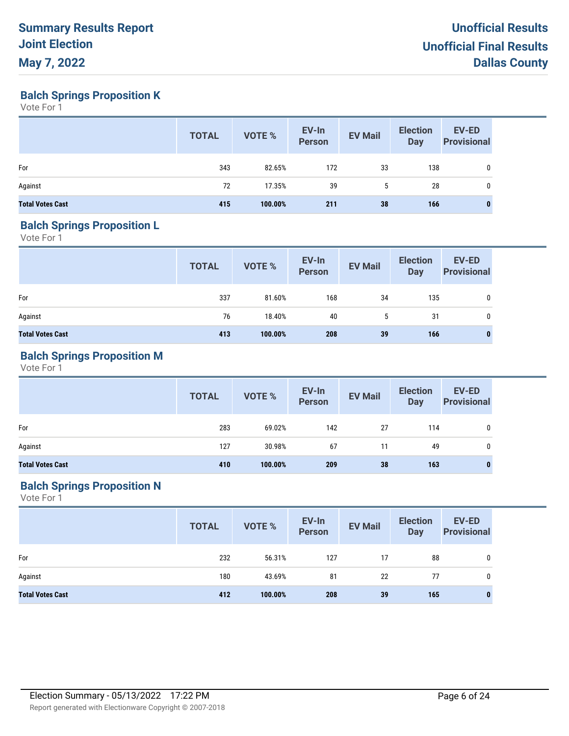**Balch Springs Proposition K**

Vote For 1

|                         | <b>TOTAL</b> | VOTE %  | EV-In<br><b>Person</b> | <b>EV Mail</b> | <b>Election</b><br>Day | <b>EV-ED</b><br><b>Provisional</b> |
|-------------------------|--------------|---------|------------------------|----------------|------------------------|------------------------------------|
| For                     | 343          | 82.65%  | 172                    | 33             | 138                    | 0                                  |
| Against                 | 72           | 17.35%  | 39                     | 5              | 28                     | 0                                  |
| <b>Total Votes Cast</b> | 415          | 100.00% | 211                    | 38             | 166                    | 0                                  |

## **Balch Springs Proposition L**

Vote For 1

|                         | <b>TOTAL</b> | VOTE %  | EV-In<br>Person | <b>EV Mail</b> | <b>Election</b><br>Day | EV-ED<br><b>Provisional</b> |
|-------------------------|--------------|---------|-----------------|----------------|------------------------|-----------------------------|
| For                     | 337          | 81.60%  | 168             | 34             | 135                    | 0                           |
| Against                 | 76           | 18.40%  | 40              | 5              | 31                     | 0                           |
| <b>Total Votes Cast</b> | 413          | 100.00% | 208             | 39             | 166                    | 0                           |

# **Balch Springs Proposition M**

Vote For 1

|                         | <b>TOTAL</b> | <b>VOTE %</b> | EV-In<br>Person | <b>EV Mail</b> | <b>Election</b><br><b>Day</b> | <b>EV-ED</b><br><b>Provisional</b> |
|-------------------------|--------------|---------------|-----------------|----------------|-------------------------------|------------------------------------|
| For                     | 283          | 69.02%        | 142             | 27             | 114                           | 0                                  |
| Against                 | 127          | 30.98%        | 67              | 11             | 49                            | 0                                  |
| <b>Total Votes Cast</b> | 410          | 100.00%       | 209             | 38             | 163                           | 0                                  |

## **Balch Springs Proposition N**

|                         | <b>TOTAL</b> | VOTE %  | EV-In<br>Person | <b>EV Mail</b> | <b>Election</b><br>Day | <b>EV-ED</b><br><b>Provisional</b> |
|-------------------------|--------------|---------|-----------------|----------------|------------------------|------------------------------------|
| For                     | 232          | 56.31%  | 127             | 17             | 88                     | 0                                  |
| Against                 | 180          | 43.69%  | 81              | 22             | 77                     | 0                                  |
| <b>Total Votes Cast</b> | 412          | 100.00% | 208             | 39             | 165                    | 0                                  |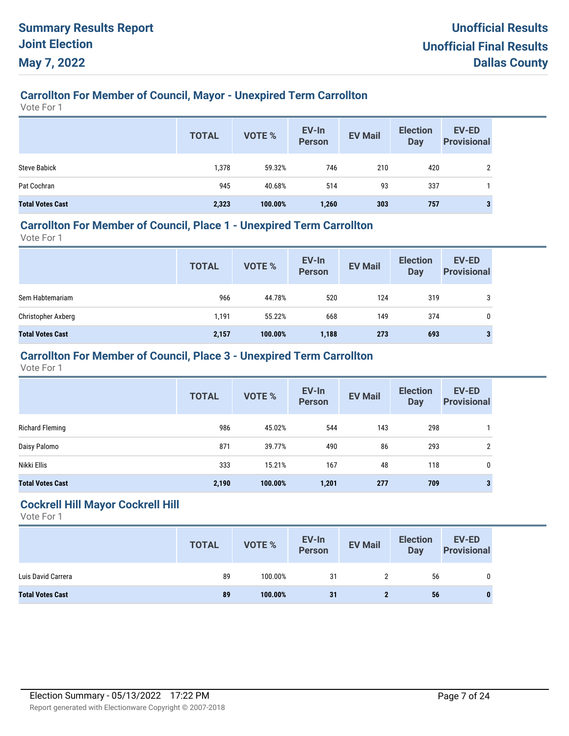# **Carrollton For Member of Council, Mayor - Unexpired Term Carrollton**

Vote For 1

|                         | <b>TOTAL</b> | <b>VOTE %</b> | EV-In<br><b>Person</b> | <b>EV Mail</b> | <b>Election</b><br><b>Day</b> | <b>EV-ED</b><br><b>Provisional</b> |
|-------------------------|--------------|---------------|------------------------|----------------|-------------------------------|------------------------------------|
| <b>Steve Babick</b>     | 1,378        | 59.32%        | 746                    | 210            | 420                           | C                                  |
| Pat Cochran             | 945          | 40.68%        | 514                    | 93             | 337                           |                                    |
| <b>Total Votes Cast</b> | 2,323        | 100.00%       | 1,260                  | 303            | 757                           |                                    |

## **Carrollton For Member of Council, Place 1 - Unexpired Term Carrollton**

Vote For 1

|                         | <b>TOTAL</b> | <b>VOTE %</b> | EV-In<br><b>Person</b> | <b>EV Mail</b> | <b>Election</b><br><b>Day</b> | <b>EV-ED</b><br><b>Provisional</b> |
|-------------------------|--------------|---------------|------------------------|----------------|-------------------------------|------------------------------------|
| Sem Habtemariam         | 966          | 44.78%        | 520                    | 124            | 319                           | 3                                  |
| Christopher Axberg      | 1,191        | 55.22%        | 668                    | 149            | 374                           | 0                                  |
| <b>Total Votes Cast</b> | 2,157        | 100.00%       | 1,188                  | 273            | 693                           | 3                                  |

## **Carrollton For Member of Council, Place 3 - Unexpired Term Carrollton**

Vote For 1

|                         | <b>TOTAL</b> | <b>VOTE %</b> | EV-In<br><b>Person</b> | <b>EV Mail</b> | <b>Election</b><br><b>Day</b> | <b>EV-ED</b><br><b>Provisional</b> |
|-------------------------|--------------|---------------|------------------------|----------------|-------------------------------|------------------------------------|
| Richard Fleming         | 986          | 45.02%        | 544                    | 143            | 298                           |                                    |
| Daisy Palomo            | 871          | 39.77%        | 490                    | 86             | 293                           | 2                                  |
| Nikki Ellis             | 333          | 15.21%        | 167                    | 48             | 118                           | $\mathbf 0$                        |
| <b>Total Votes Cast</b> | 2,190        | 100.00%       | 1,201                  | 277            | 709                           | 3                                  |

#### **Cockrell Hill Mayor Cockrell Hill**

|                         | <b>TOTAL</b> | <b>VOTE %</b> | EV-In<br>Person | <b>EV Mail</b> | <b>Election</b><br>Day | <b>EV-ED</b><br><b>Provisional</b> |
|-------------------------|--------------|---------------|-----------------|----------------|------------------------|------------------------------------|
| Luis David Carrera      | 89           | 100.00%       | 31              |                | 56                     |                                    |
| <b>Total Votes Cast</b> | 89           | 100.00%       | 31              |                | 56                     |                                    |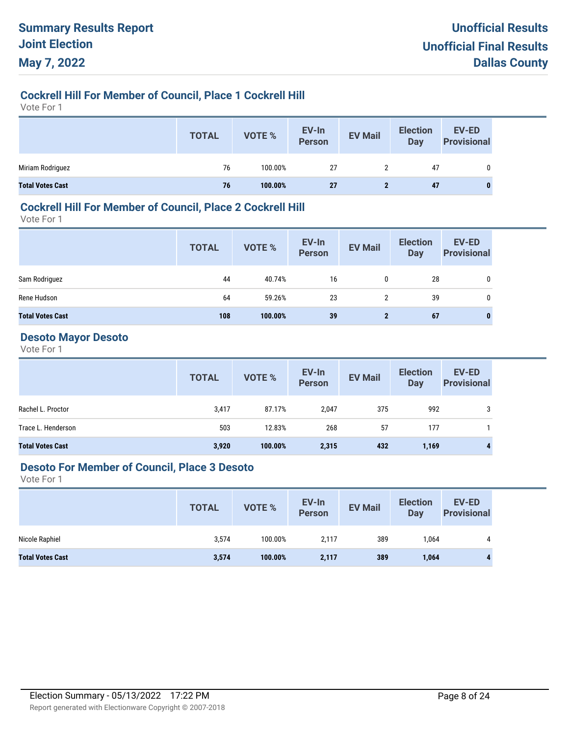## **Cockrell Hill For Member of Council, Place 1 Cockrell Hill**

Vote For 1

|                         | <b>TOTAL</b> | VOTE %  | EV-In<br>Person | <b>EV Mail</b> | <b>Election</b><br>Day | <b>EV-ED</b><br><b>Provisional</b> |
|-------------------------|--------------|---------|-----------------|----------------|------------------------|------------------------------------|
| Miriam Rodriguez        | 76           | 100.00% | 27              |                | 47                     |                                    |
| <b>Total Votes Cast</b> | 76           | 100.00% | 27              |                | 47                     | 0                                  |

### **Cockrell Hill For Member of Council, Place 2 Cockrell Hill**

Vote For 1

|                         | <b>TOTAL</b> | <b>VOTE %</b> | EV-In<br><b>Person</b> | <b>EV Mail</b> | <b>Election</b><br>Day | <b>EV-ED</b><br><b>Provisional</b> |
|-------------------------|--------------|---------------|------------------------|----------------|------------------------|------------------------------------|
| Sam Rodriguez           | 44           | 40.74%        | 16                     | 0              | 28                     | 0                                  |
| Rene Hudson             | 64           | 59.26%        | 23                     | 2              | 39                     | 0                                  |
| <b>Total Votes Cast</b> | 108          | 100.00%       | 39                     | $\mathbf{2}$   | 67                     | $\mathbf{0}$                       |

## **Desoto Mayor Desoto**

Vote For 1

|                         | <b>TOTAL</b> | VOTE %  | EV-In<br>Person | <b>EV Mail</b> | <b>Election</b><br>Day | EV-ED<br><b>Provisional</b> |
|-------------------------|--------------|---------|-----------------|----------------|------------------------|-----------------------------|
| Rachel L. Proctor       | 3,417        | 87.17%  | 2,047           | 375            | 992                    | 3                           |
| Trace L. Henderson      | 503          | 12.83%  | 268             | 57             | 177                    |                             |
| <b>Total Votes Cast</b> | 3,920        | 100.00% | 2,315           | 432            | 1,169                  | 4                           |

#### **Desoto For Member of Council, Place 3 Desoto**

|                         | <b>TOTAL</b> | VOTE %  | EV-In<br>Person | <b>EV Mail</b> | <b>Election</b><br>Day | <b>EV-ED</b><br><b>Provisional</b> |
|-------------------------|--------------|---------|-----------------|----------------|------------------------|------------------------------------|
| Nicole Raphiel          | 3,574        | 100.00% | 2,117           | 389            | 1,064                  | 4                                  |
| <b>Total Votes Cast</b> | 3,574        | 100.00% | 2,117           | 389            | 1,064                  |                                    |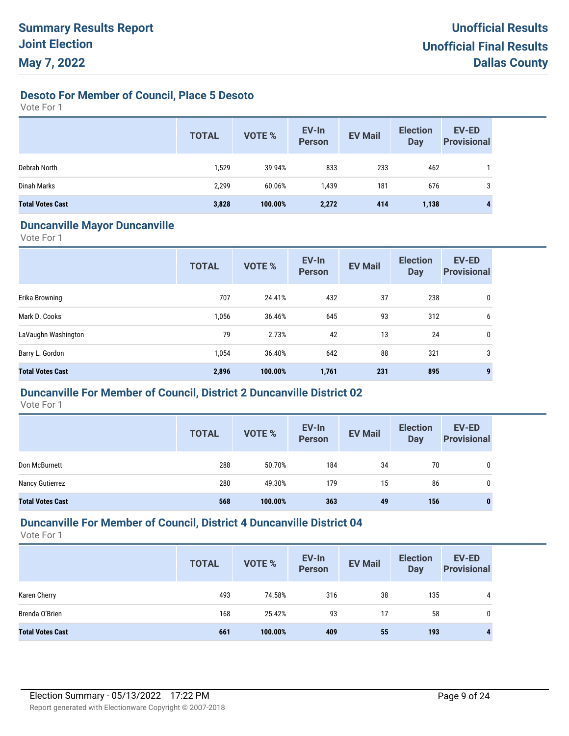**Desoto For Member of Council, Place 5 Desoto**

Vote For 1

|                         | <b>TOTAL</b> | <b>VOTE %</b> | EV-In<br><b>Person</b> | <b>EV Mail</b> | <b>Election</b><br>Day | EV-ED<br><b>Provisional</b> |
|-------------------------|--------------|---------------|------------------------|----------------|------------------------|-----------------------------|
| Debrah North            | 1,529        | 39.94%        | 833                    | 233            | 462                    |                             |
| Dinah Marks             | 2,299        | 60.06%        | 1.439                  | 181            | 676                    | 3                           |
| <b>Total Votes Cast</b> | 3,828        | 100.00%       | 2,272                  | 414            | 1,138                  |                             |

#### **Duncanville Mayor Duncanville**

Vote For 1

|                         | <b>TOTAL</b> | VOTE %  | EV-In<br><b>Person</b> | <b>EV Mail</b> | <b>Election</b><br><b>Day</b> | <b>EV-ED</b><br><b>Provisional</b> |
|-------------------------|--------------|---------|------------------------|----------------|-------------------------------|------------------------------------|
| Erika Browning          | 707          | 24.41%  | 432                    | 37             | 238                           | 0                                  |
| Mark D. Cooks           | 1,056        | 36.46%  | 645                    | 93             | 312                           | 6                                  |
| LaVaughn Washington     | 79           | 2.73%   | 42                     | 13             | 24                            | 0                                  |
| Barry L. Gordon         | 1,054        | 36.40%  | 642                    | 88             | 321                           | 3                                  |
| <b>Total Votes Cast</b> | 2,896        | 100.00% | 1,761                  | 231            | 895                           |                                    |

#### **Duncanville For Member of Council, District 2 Duncanville District 02**

Vote For 1

|                         | <b>TOTAL</b> | <b>VOTE %</b> | EV-In<br><b>Person</b> | <b>EV Mail</b> | <b>Election</b><br>Day | <b>EV-ED</b><br><b>Provisional</b> |
|-------------------------|--------------|---------------|------------------------|----------------|------------------------|------------------------------------|
| Don McBurnett           | 288          | 50.70%        | 184                    | 34             | 70                     | 0                                  |
| Nancy Gutierrez         | 280          | 49.30%        | 179                    | 15             | 86                     | 0                                  |
| <b>Total Votes Cast</b> | 568          | 100.00%       | 363                    | 49             | 156                    | 0                                  |

## **Duncanville For Member of Council, District 4 Duncanville District 04**

|                         | <b>TOTAL</b> | <b>VOTE %</b> | EV-In<br><b>Person</b> | <b>EV Mail</b> | <b>Election</b><br><b>Day</b> | EV-ED<br><b>Provisional</b> |
|-------------------------|--------------|---------------|------------------------|----------------|-------------------------------|-----------------------------|
| Karen Cherry            | 493          | 74.58%        | 316                    | 38             | 135                           | 4                           |
| Brenda O'Brien          | 168          | 25.42%        | 93                     | 17             | 58                            | 0                           |
| <b>Total Votes Cast</b> | 661          | 100.00%       | 409                    | 55             | 193                           | 4                           |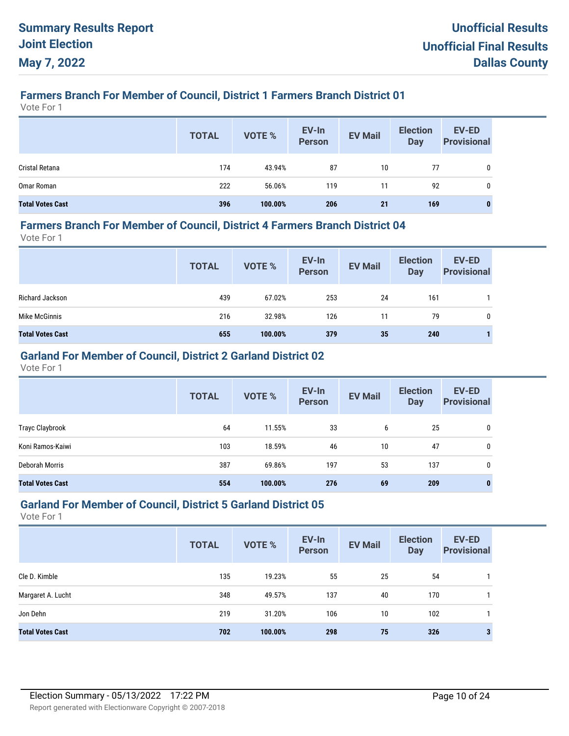# **Farmers Branch For Member of Council, District 1 Farmers Branch District 01**

Vote For 1

|                         | <b>TOTAL</b> | <b>VOTE %</b> | EV-In<br>Person | <b>EV Mail</b> | <b>Election</b><br><b>Day</b> | EV-ED<br><b>Provisional</b> |
|-------------------------|--------------|---------------|-----------------|----------------|-------------------------------|-----------------------------|
| Cristal Retana          | 174          | 43.94%        | 87              | 10             | 77                            | 0                           |
| Omar Roman              | 222          | 56.06%        | 119             | 11             | 92                            | 0                           |
| <b>Total Votes Cast</b> | 396          | 100.00%       | 206             | 21             | 169                           | 0                           |

#### **Farmers Branch For Member of Council, District 4 Farmers Branch District 04**

Vote For 1

|                         | <b>TOTAL</b> | VOTE %  | EV-In<br>Person | <b>EV Mail</b> | <b>Election</b><br><b>Day</b> | <b>EV-ED</b><br><b>Provisional</b> |
|-------------------------|--------------|---------|-----------------|----------------|-------------------------------|------------------------------------|
| Richard Jackson         | 439          | 67.02%  | 253             | 24             | 161                           |                                    |
| Mike McGinnis           | 216          | 32.98%  | 126             | 11             | 79                            | 0                                  |
| <b>Total Votes Cast</b> | 655          | 100.00% | 379             | 35             | 240                           |                                    |

## **Garland For Member of Council, District 2 Garland District 02**

Vote For 1

|                         | <b>TOTAL</b> | <b>VOTE %</b> | EV-In<br><b>Person</b> | <b>EV Mail</b> | <b>Election</b><br><b>Day</b> | <b>EV-ED</b><br><b>Provisional</b> |
|-------------------------|--------------|---------------|------------------------|----------------|-------------------------------|------------------------------------|
| Trayc Claybrook         | 64           | 11.55%        | 33                     | 6              | 25                            | 0                                  |
| Koni Ramos-Kaiwi        | 103          | 18.59%        | 46                     | 10             | 47                            | 0                                  |
| Deborah Morris          | 387          | 69.86%        | 197                    | 53             | 137                           | 0                                  |
| <b>Total Votes Cast</b> | 554          | 100.00%       | 276                    | 69             | 209                           | 0                                  |

### **Garland For Member of Council, District 5 Garland District 05**

|                         | <b>TOTAL</b> | <b>VOTE %</b> | EV-In<br><b>Person</b> | <b>EV Mail</b> | <b>Election</b><br><b>Day</b> | EV-ED<br><b>Provisional</b> |
|-------------------------|--------------|---------------|------------------------|----------------|-------------------------------|-----------------------------|
| Cle D. Kimble           | 135          | 19.23%        | 55                     | 25             | 54                            |                             |
| Margaret A. Lucht       | 348          | 49.57%        | 137                    | 40             | 170                           |                             |
| Jon Dehn                | 219          | 31.20%        | 106                    | 10             | 102                           |                             |
| <b>Total Votes Cast</b> | 702          | 100.00%       | 298                    | 75             | 326                           |                             |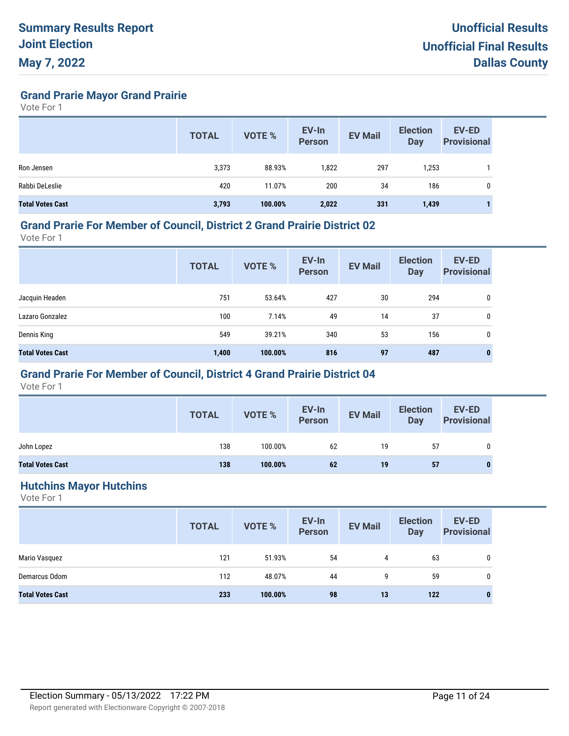**Grand Prarie Mayor Grand Prairie**

Vote For 1

|                         | <b>TOTAL</b> | <b>VOTE %</b> | EV-In<br><b>Person</b> | <b>EV Mail</b> | <b>Election</b><br><b>Day</b> | <b>EV-ED</b><br><b>Provisional</b> |
|-------------------------|--------------|---------------|------------------------|----------------|-------------------------------|------------------------------------|
| Ron Jensen              | 3,373        | 88.93%        | 1,822                  | 297            | 1,253                         |                                    |
| Rabbi DeLeslie          | 420          | 11.07%        | 200                    | 34             | 186                           | 0                                  |
| <b>Total Votes Cast</b> | 3,793        | 100.00%       | 2,022                  | 331            | 1,439                         |                                    |

#### **Grand Prarie For Member of Council, District 2 Grand Prairie District 02**

Vote For 1

|                         | <b>TOTAL</b> | <b>VOTE %</b> | EV-In<br>Person | <b>EV Mail</b> | <b>Election</b><br><b>Day</b> | EV-ED<br><b>Provisional</b> |
|-------------------------|--------------|---------------|-----------------|----------------|-------------------------------|-----------------------------|
| Jacquin Headen          | 751          | 53.64%        | 427             | 30             | 294                           | 0                           |
| Lazaro Gonzalez         | 100          | 7.14%         | 49              | 14             | 37                            | 0                           |
| Dennis King             | 549          | 39.21%        | 340             | 53             | 156                           | 0                           |
| <b>Total Votes Cast</b> | 1,400        | 100.00%       | 816             | 97             | 487                           | $\bf{0}$                    |

## **Grand Prarie For Member of Council, District 4 Grand Prairie District 04**

Vote For 1

|                         | <b>TOTAL</b> | <b>VOTE %</b> | EV-In<br>Person | <b>EV Mail</b> | <b>Election</b><br><b>Day</b> | EV-ED<br><b>Provisional</b> |
|-------------------------|--------------|---------------|-----------------|----------------|-------------------------------|-----------------------------|
| John Lopez              | 138          | 100.00%       | 62              | 19             | 57                            |                             |
| <b>Total Votes Cast</b> | 138          | 100.00%       | 62              | 19             | 57                            |                             |

#### **Hutchins Mayor Hutchins**

|                         | <b>TOTAL</b> | VOTE %  | EV-In<br>Person | <b>EV Mail</b> | <b>Election</b><br><b>Day</b> | <b>EV-ED</b><br><b>Provisional</b> |
|-------------------------|--------------|---------|-----------------|----------------|-------------------------------|------------------------------------|
| Mario Vasquez           | 121          | 51.93%  | 54              | 4              | 63                            | 0                                  |
| Demarcus Odom           | 112          | 48.07%  | 44              | 9              | 59                            | 0                                  |
| <b>Total Votes Cast</b> | 233          | 100.00% | 98              | 13             | 122                           | $\bf{0}$                           |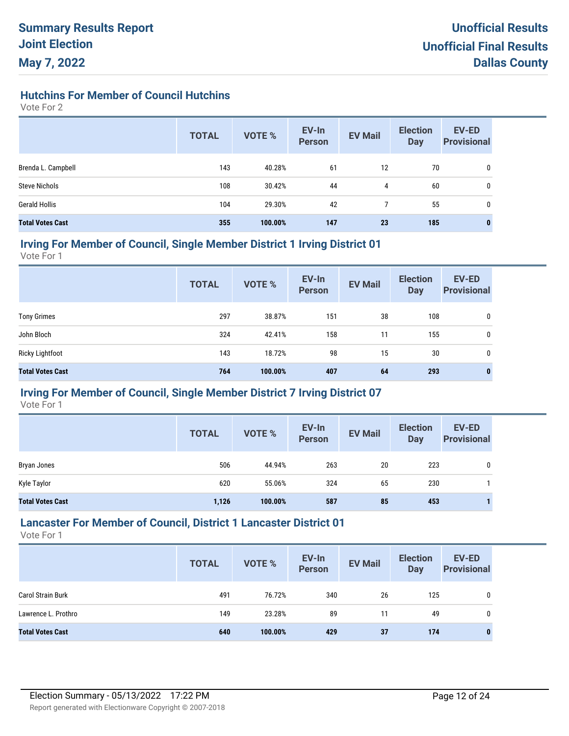**Hutchins For Member of Council Hutchins**

Vote For 2

|                         | <b>TOTAL</b> | <b>VOTE %</b> | EV-In<br><b>Person</b> | <b>EV Mail</b> | <b>Election</b><br><b>Day</b> | <b>EV-ED</b><br><b>Provisional</b> |
|-------------------------|--------------|---------------|------------------------|----------------|-------------------------------|------------------------------------|
| Brenda L. Campbell      | 143          | 40.28%        | 61                     | 12             | 70                            | 0                                  |
| <b>Steve Nichols</b>    | 108          | 30.42%        | 44                     | 4              | 60                            | 0                                  |
| <b>Gerald Hollis</b>    | 104          | 29.30%        | 42                     |                | 55                            | 0                                  |
| <b>Total Votes Cast</b> | 355          | 100.00%       | 147                    | 23             | 185                           | 0                                  |

#### **Irving For Member of Council, Single Member District 1 Irving District 01**

Vote For 1

|                         | <b>TOTAL</b> | <b>VOTE %</b> | EV-In<br><b>Person</b> | <b>EV Mail</b> | <b>Election</b><br><b>Day</b> | EV-ED<br><b>Provisional</b> |
|-------------------------|--------------|---------------|------------------------|----------------|-------------------------------|-----------------------------|
| <b>Tony Grimes</b>      | 297          | 38.87%        | 151                    | 38             | 108                           | 0                           |
| John Bloch              | 324          | 42.41%        | 158                    | 11             | 155                           | 0                           |
| <b>Ricky Lightfoot</b>  | 143          | 18.72%        | 98                     | 15             | 30                            | 0                           |
| <b>Total Votes Cast</b> | 764          | 100.00%       | 407                    | 64             | 293                           | 0                           |

## **Irving For Member of Council, Single Member District 7 Irving District 07**

Vote For 1

|                         | <b>TOTAL</b> | <b>VOTE %</b> | EV-In<br><b>Person</b> | <b>EV Mail</b> | <b>Election</b><br>Day | <b>EV-ED</b><br><b>Provisional</b> |
|-------------------------|--------------|---------------|------------------------|----------------|------------------------|------------------------------------|
| Bryan Jones             | 506          | 44.94%        | 263                    | 20             | 223                    | 0                                  |
| Kyle Taylor             | 620          | 55.06%        | 324                    | 65             | 230                    |                                    |
| <b>Total Votes Cast</b> | 1,126        | 100.00%       | 587                    | 85             | 453                    |                                    |

## **Lancaster For Member of Council, District 1 Lancaster District 01**

|                          | <b>TOTAL</b> | <b>VOTE %</b> | EV-In<br><b>Person</b> | <b>EV Mail</b> | <b>Election</b><br>Day | <b>EV-ED</b><br><b>Provisional</b> |
|--------------------------|--------------|---------------|------------------------|----------------|------------------------|------------------------------------|
| <b>Carol Strain Burk</b> | 491          | 76.72%        | 340                    | 26             | 125                    | 0                                  |
| Lawrence L. Prothro      | 149          | 23.28%        | 89                     | 11             | 49                     | 0                                  |
| <b>Total Votes Cast</b>  | 640          | 100.00%       | 429                    | 37             | 174                    | 0                                  |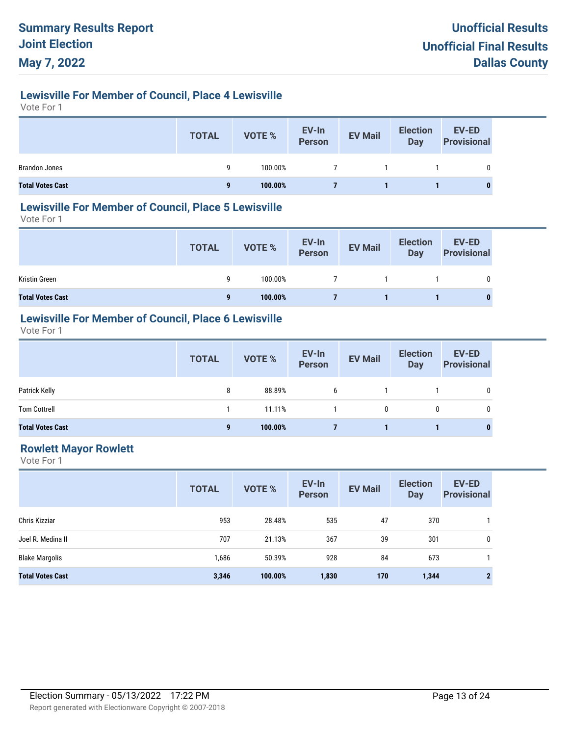# **Lewisville For Member of Council, Place 4 Lewisville**

Vote For 1

|                         | <b>TOTAL</b> | <b>VOTE %</b> | EV-In<br>Person | <b>EV Mail</b> | <b>Election</b><br><b>Day</b> | <b>EV-ED</b><br><b>Provisional</b> |
|-------------------------|--------------|---------------|-----------------|----------------|-------------------------------|------------------------------------|
| <b>Brandon Jones</b>    | Q            | 100.00%       |                 |                |                               |                                    |
| <b>Total Votes Cast</b> | a            | 100.00%       |                 |                |                               |                                    |

#### **Lewisville For Member of Council, Place 5 Lewisville**

Vote For 1

|                         | <b>TOTAL</b> | VOTE %  | EV-In<br>Person | <b>EV Mail</b> | <b>Election</b><br><b>Day</b> | EV-ED<br><b>Provisional</b> |
|-------------------------|--------------|---------|-----------------|----------------|-------------------------------|-----------------------------|
| Kristin Green           | g            | 100.00% |                 |                |                               | 0                           |
| <b>Total Votes Cast</b> | 9            | 100.00% |                 |                |                               |                             |

# **Lewisville For Member of Council, Place 6 Lewisville**

Vote For 1

|                         | <b>TOTAL</b> | VOTE %  | EV-In<br>Person | <b>EV Mail</b> | <b>Election</b><br><b>Day</b> | <b>EV-ED</b><br><b>Provisional</b> |
|-------------------------|--------------|---------|-----------------|----------------|-------------------------------|------------------------------------|
| Patrick Kelly           | 8            | 88.89%  | 6               |                |                               | 0                                  |
| <b>Tom Cottrell</b>     |              | 11.11%  |                 | 0              | 0                             | 0                                  |
| <b>Total Votes Cast</b> | 9            | 100.00% |                 |                |                               | 0                                  |

## **Rowlett Mayor Rowlett**

|                         | <b>TOTAL</b> | <b>VOTE %</b> | EV-In<br><b>Person</b> | <b>EV Mail</b> | <b>Election</b><br><b>Day</b> | <b>EV-ED</b><br><b>Provisional</b> |
|-------------------------|--------------|---------------|------------------------|----------------|-------------------------------|------------------------------------|
| Chris Kizziar           | 953          | 28.48%        | 535                    | 47             | 370                           |                                    |
| Joel R. Medina II       | 707          | 21.13%        | 367                    | 39             | 301                           | 0                                  |
| <b>Blake Margolis</b>   | 1,686        | 50.39%        | 928                    | 84             | 673                           |                                    |
| <b>Total Votes Cast</b> | 3,346        | 100.00%       | 1,830                  | 170            | 1,344                         | $\mathbf{2}$                       |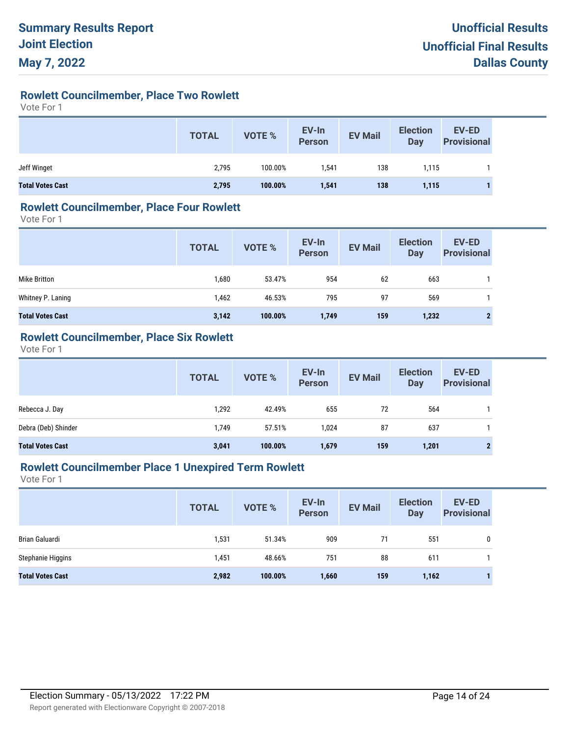# **Rowlett Councilmember, Place Two Rowlett**

Vote For 1

|                         | <b>TOTAL</b> | <b>VOTE %</b> | EV-In<br>Person | <b>EV Mail</b> | <b>Election</b><br>Day | <b>EV-ED</b><br><b>Provisional</b> |
|-------------------------|--------------|---------------|-----------------|----------------|------------------------|------------------------------------|
| Jeff Winget             | 2,795        | 100.00%       | 1,541           | 138            | 1.115                  |                                    |
| <b>Total Votes Cast</b> | 2,795        | 100.00%       | 1,541           | 138            | 1,115                  |                                    |

#### **Rowlett Councilmember, Place Four Rowlett**

Vote For 1

|                         | <b>TOTAL</b> | VOTE %  | EV-In<br>Person | <b>EV Mail</b> | <b>Election</b><br>Day | <b>EV-ED</b><br><b>Provisional</b> |
|-------------------------|--------------|---------|-----------------|----------------|------------------------|------------------------------------|
| Mike Britton            | 1,680        | 53.47%  | 954             | 62             | 663                    |                                    |
| Whitney P. Laning       | 1,462        | 46.53%  | 795             | 97             | 569                    |                                    |
| <b>Total Votes Cast</b> | 3,142        | 100.00% | 1,749           | 159            | 1,232                  | $\mathbf{2}$                       |

### **Rowlett Councilmember, Place Six Rowlett**

Vote For 1

|                         | <b>TOTAL</b> | VOTE %  | EV-In<br>Person | <b>EV Mail</b> | <b>Election</b><br>Day | <b>EV-ED</b><br><b>Provisional</b> |
|-------------------------|--------------|---------|-----------------|----------------|------------------------|------------------------------------|
| Rebecca J. Day          | 1,292        | 42.49%  | 655             | 72             | 564                    |                                    |
| Debra (Deb) Shinder     | 1.749        | 57.51%  | 1.024           | 87             | 637                    |                                    |
| <b>Total Votes Cast</b> | 3,041        | 100.00% | 1,679           | 159            | 1,201                  | $\mathbf{2}$                       |

## **Rowlett Councilmember Place 1 Unexpired Term Rowlett**

|                         | <b>TOTAL</b> | <b>VOTE %</b> | EV-In<br><b>Person</b> | <b>EV Mail</b> | <b>Election</b><br><b>Day</b> | <b>EV-ED</b><br><b>Provisional</b> |
|-------------------------|--------------|---------------|------------------------|----------------|-------------------------------|------------------------------------|
| Brian Galuardi          | 1,531        | 51.34%        | 909                    | 71             | 551                           | 0                                  |
| Stephanie Higgins       | 1,451        | 48.66%        | 751                    | 88             | 611                           |                                    |
| <b>Total Votes Cast</b> | 2,982        | 100.00%       | 1,660                  | 159            | 1,162                         |                                    |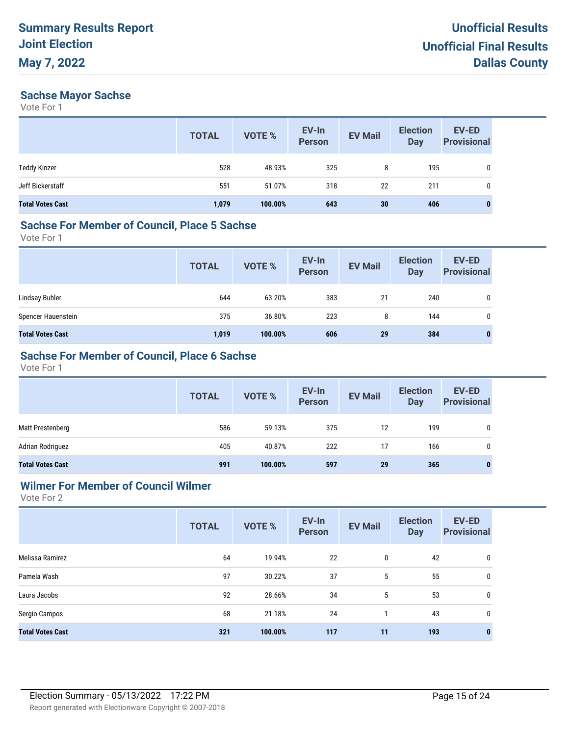#### **Sachse Mayor Sachse**

Vote For 1

|                         | <b>TOTAL</b> | <b>VOTE %</b> | EV-In<br>Person | <b>EV Mail</b>  | <b>Election</b><br><b>Day</b> | <b>EV-ED</b><br><b>Provisional</b> |
|-------------------------|--------------|---------------|-----------------|-----------------|-------------------------------|------------------------------------|
| <b>Teddy Kinzer</b>     | 528          | 48.93%        | 325             | 8               | 195                           | 0                                  |
| Jeff Bickerstaff        | 551          | 51.07%        | 318             | 22              | 211                           | 0                                  |
| <b>Total Votes Cast</b> | 1,079        | 100.00%       | 643             | 30 <sub>2</sub> | 406                           | $\bf{0}$                           |

#### **Sachse For Member of Council, Place 5 Sachse**

Vote For 1

|                         | <b>TOTAL</b> | VOTE %  | EV-In<br>Person | <b>EV Mail</b> | <b>Election</b><br><b>Day</b> | EV-ED<br><b>Provisional</b> |
|-------------------------|--------------|---------|-----------------|----------------|-------------------------------|-----------------------------|
| Lindsay Buhler          | 644          | 63.20%  | 383             | 21             | 240                           | 0                           |
| Spencer Hauenstein      | 375          | 36.80%  | 223             | 8              | 144                           | $\mathbf{0}$                |
| <b>Total Votes Cast</b> | 1,019        | 100.00% | 606             | 29             | 384                           | 0                           |

## **Sachse For Member of Council, Place 6 Sachse**

Vote For 1

|                         | <b>TOTAL</b> | <b>VOTE %</b> | EV-In<br>Person | <b>EV Mail</b> | <b>Election</b><br><b>Day</b> | <b>EV-ED</b><br><b>Provisional</b> |
|-------------------------|--------------|---------------|-----------------|----------------|-------------------------------|------------------------------------|
| Matt Prestenberg        | 586          | 59.13%        | 375             | 12             | 199                           | 0                                  |
| Adrian Rodriguez        | 405          | 40.87%        | 222             | 17             | 166                           | 0                                  |
| <b>Total Votes Cast</b> | 991          | 100.00%       | 597             | 29             | 365                           | 0                                  |

#### **Wilmer For Member of Council Wilmer**

|                         | <b>TOTAL</b> | <b>VOTE %</b> | EV-In<br><b>Person</b> | <b>EV Mail</b> | <b>Election</b><br><b>Day</b> | EV-ED<br><b>Provisional</b> |
|-------------------------|--------------|---------------|------------------------|----------------|-------------------------------|-----------------------------|
| Melissa Ramirez         | 64           | 19.94%        | 22                     | 0              | 42                            | 0                           |
| Pamela Wash             | 97           | 30.22%        | 37                     | 5              | 55                            | 0                           |
| Laura Jacobs            | 92           | 28.66%        | 34                     | 5              | 53                            | 0                           |
| Sergio Campos           | 68           | 21.18%        | 24                     |                | 43                            | 0                           |
| <b>Total Votes Cast</b> | 321          | 100.00%       | 117                    | 11             | 193                           | $\bf{0}$                    |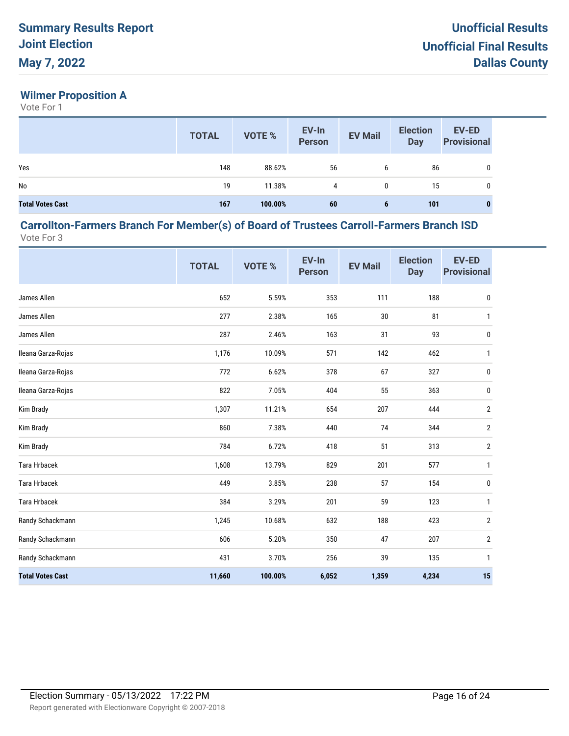## **Wilmer Proposition A**

Vote For 1

|                         | <b>TOTAL</b> | <b>VOTE %</b> | EV-In<br>Person | <b>EV Mail</b> | <b>Election</b><br><b>Day</b> | <b>EV-ED</b><br><b>Provisional</b> |
|-------------------------|--------------|---------------|-----------------|----------------|-------------------------------|------------------------------------|
| Yes                     | 148          | 88.62%        | 56              | 6              | 86                            | 0                                  |
| No                      | 19           | 11.38%        | 4               | 0              | 15                            | 0                                  |
| <b>Total Votes Cast</b> | 167          | 100.00%       | 60              | 6              | 101                           | $\bf{0}$                           |

#### **Carrollton-Farmers Branch For Member(s) of Board of Trustees Carroll-Farmers Branch ISD** Vote For 3

|                         | <b>TOTAL</b> | VOTE %  | EV-In<br><b>Person</b> | <b>EV Mail</b> | <b>Election</b><br><b>Day</b> | <b>EV-ED</b><br><b>Provisional</b> |
|-------------------------|--------------|---------|------------------------|----------------|-------------------------------|------------------------------------|
| James Allen             | 652          | 5.59%   | 353                    | 111            | 188                           | $\pmb{0}$                          |
| James Allen             | 277          | 2.38%   | 165                    | $30\,$         | 81                            | $\mathbf{1}$                       |
| James Allen             | 287          | 2.46%   | 163                    | 31             | 93                            | 0                                  |
| Ileana Garza-Rojas      | 1,176        | 10.09%  | 571                    | 142            | 462                           | 1                                  |
| Ileana Garza-Rojas      | 772          | 6.62%   | 378                    | 67             | 327                           | 0                                  |
| Ileana Garza-Rojas      | 822          | 7.05%   | 404                    | 55             | 363                           | 0                                  |
| Kim Brady               | 1,307        | 11.21%  | 654                    | 207            | 444                           | 2                                  |
| Kim Brady               | 860          | 7.38%   | 440                    | 74             | 344                           | $\overline{2}$                     |
| Kim Brady               | 784          | 6.72%   | 418                    | 51             | 313                           | 2                                  |
| <b>Tara Hrbacek</b>     | 1,608        | 13.79%  | 829                    | 201            | 577                           | $\mathbf{1}$                       |
| <b>Tara Hrbacek</b>     | 449          | 3.85%   | 238                    | 57             | 154                           | 0                                  |
| <b>Tara Hrbacek</b>     | 384          | 3.29%   | 201                    | 59             | 123                           | $\mathbf{1}$                       |
| Randy Schackmann        | 1,245        | 10.68%  | 632                    | 188            | 423                           | $\overline{2}$                     |
| Randy Schackmann        | 606          | 5.20%   | 350                    | 47             | 207                           | $\overline{2}$                     |
| Randy Schackmann        | 431          | 3.70%   | 256                    | 39             | 135                           | 1                                  |
| <b>Total Votes Cast</b> | 11,660       | 100.00% | 6,052                  | 1,359          | 4,234                         | 15                                 |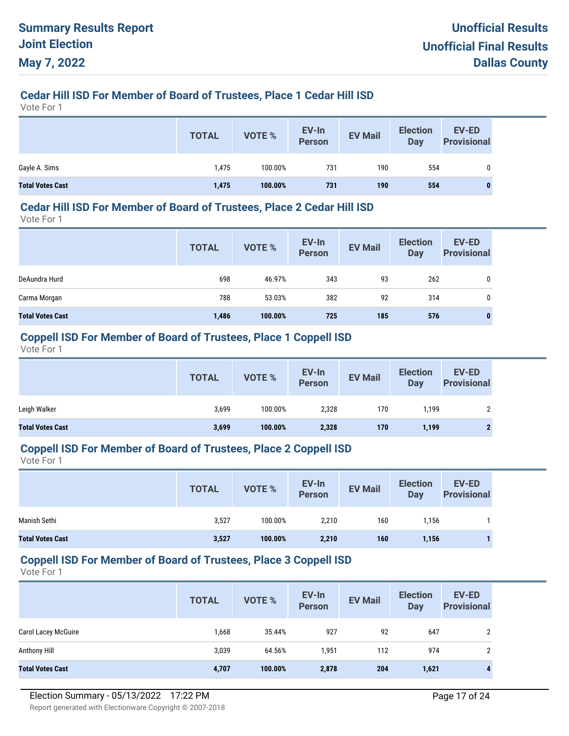# **Cedar Hill ISD For Member of Board of Trustees, Place 1 Cedar Hill ISD**

Vote For 1

|                         | <b>TOTAL</b> | VOTE %  | EV-In<br>Person | <b>EV Mail</b> | <b>Election</b><br><b>Day</b> | <b>EV-ED</b><br><b>Provisional</b> |
|-------------------------|--------------|---------|-----------------|----------------|-------------------------------|------------------------------------|
| Gayle A. Sims           | l,475        | 100.00% | 731             | 190            | 554                           |                                    |
| <b>Total Votes Cast</b> | 1,475        | 100.00% | 731             | 190            | 554                           | 0                                  |

#### **Cedar Hill ISD For Member of Board of Trustees, Place 2 Cedar Hill ISD**

Vote For 1

|                         | <b>TOTAL</b> | <b>VOTE %</b> | EV-In<br><b>Person</b> | <b>EV Mail</b> | <b>Election</b><br><b>Day</b> | <b>EV-ED</b><br><b>Provisional</b> |
|-------------------------|--------------|---------------|------------------------|----------------|-------------------------------|------------------------------------|
| DeAundra Hurd           | 698          | 46.97%        | 343                    | 93             | 262                           | 0                                  |
| Carma Morgan            | 788          | 53.03%        | 382                    | 92             | 314                           | 0                                  |
| <b>Total Votes Cast</b> | 1,486        | 100.00%       | 725                    | 185            | 576                           |                                    |

#### **Coppell ISD For Member of Board of Trustees, Place 1 Coppell ISD**

Vote For 1

|                         | <b>TOTAL</b> | VOTE %  | EV-In<br><b>Person</b> | <b>EV Mail</b> | <b>Election</b><br><b>Day</b> | <b>EV-ED</b><br><b>Provisional</b> |
|-------------------------|--------------|---------|------------------------|----------------|-------------------------------|------------------------------------|
| Leigh Walker            | 3,699        | 100.00% | 2,328                  | 170            | 1,199                         |                                    |
| <b>Total Votes Cast</b> | 3,699        | 100.00% | 2,328                  | 170            | 1,199                         |                                    |

### **Coppell ISD For Member of Board of Trustees, Place 2 Coppell ISD**

Vote For 1

|                         | <b>TOTAL</b> | VOTE %  | EV-In<br><b>Person</b> | <b>EV Mail</b> | <b>Election</b><br><b>Day</b> | EV-ED<br><b>Provisional</b> |
|-------------------------|--------------|---------|------------------------|----------------|-------------------------------|-----------------------------|
| Manish Sethi            | 3,527        | 100.00% | 2,210                  | 160            | 1.156                         |                             |
| <b>Total Votes Cast</b> | 3,527        | 100.00% | 2,210                  | 160            | 1,156                         |                             |

#### **Coppell ISD For Member of Board of Trustees, Place 3 Coppell ISD**

|                            | <b>TOTAL</b> | <b>VOTE %</b> | EV-In<br><b>Person</b> | <b>EV Mail</b> | <b>Election</b><br>Day | <b>EV-ED</b><br><b>Provisional</b> |
|----------------------------|--------------|---------------|------------------------|----------------|------------------------|------------------------------------|
| <b>Carol Lacey McGuire</b> | 1,668        | 35.44%        | 927                    | 92             | 647                    | $\overline{2}$                     |
| Anthony Hill               | 3,039        | 64.56%        | 1,951                  | 112            | 974                    | 2                                  |
| <b>Total Votes Cast</b>    | 4,707        | 100.00%       | 2,878                  | 204            | 1,621                  | $\mathbf{A}$                       |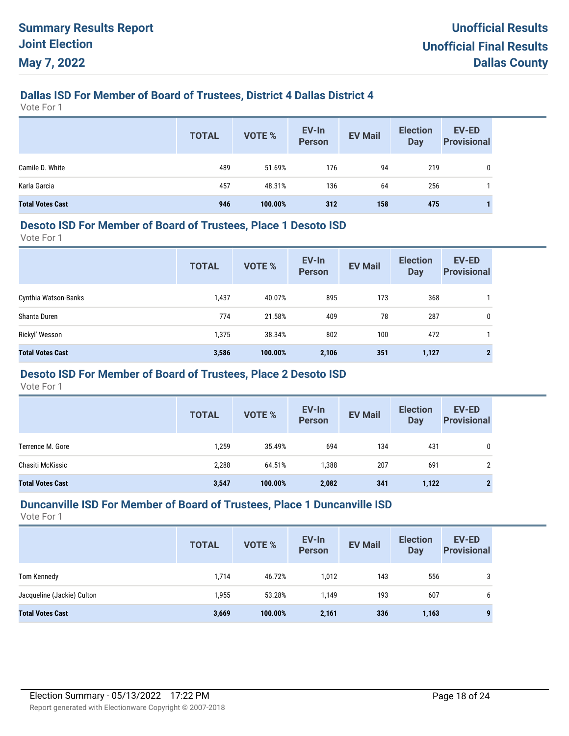## **Dallas ISD For Member of Board of Trustees, District 4 Dallas District 4**

Vote For 1

|                         | <b>TOTAL</b> | VOTE %  | EV-In<br>Person | <b>EV Mail</b> | <b>Election</b><br><b>Day</b> | EV-ED<br><b>Provisional</b> |
|-------------------------|--------------|---------|-----------------|----------------|-------------------------------|-----------------------------|
| Camile D. White         | 489          | 51.69%  | 176             | 94             | 219                           |                             |
| Karla Garcia            | 457          | 48.31%  | 136             | 64             | 256                           |                             |
| <b>Total Votes Cast</b> | 946          | 100.00% | 312             | 158            | 475                           |                             |

#### **Desoto ISD For Member of Board of Trustees, Place 1 Desoto ISD**

Vote For 1

|                         | <b>TOTAL</b> | <b>VOTE %</b> | EV-In<br><b>Person</b> | <b>EV Mail</b> | <b>Election</b><br><b>Day</b> | <b>EV-ED</b><br><b>Provisional</b> |
|-------------------------|--------------|---------------|------------------------|----------------|-------------------------------|------------------------------------|
| Cynthia Watson-Banks    | 1,437        | 40.07%        | 895                    | 173            | 368                           |                                    |
| Shanta Duren            | 774          | 21.58%        | 409                    | 78             | 287                           | $\mathbf{0}$                       |
| Rickyl' Wesson          | 1,375        | 38.34%        | 802                    | 100            | 472                           |                                    |
| <b>Total Votes Cast</b> | 3,586        | 100.00%       | 2,106                  | 351            | 1,127                         |                                    |

# **Desoto ISD For Member of Board of Trustees, Place 2 Desoto ISD**

Vote For 1

|                         | <b>TOTAL</b> | VOTE %  | EV-In<br><b>Person</b> | <b>EV Mail</b> | <b>Election</b><br><b>Day</b> | <b>EV-ED</b><br><b>Provisional</b> |
|-------------------------|--------------|---------|------------------------|----------------|-------------------------------|------------------------------------|
| Terrence M. Gore        | 1,259        | 35.49%  | 694                    | 134            | 431                           | $\mathbf{0}$                       |
| Chasiti McKissic        | 2,288        | 64.51%  | 1,388                  | 207            | 691                           | 2                                  |
| <b>Total Votes Cast</b> | 3,547        | 100.00% | 2,082                  | 341            | 1,122                         | $\mathbf{2}$                       |

#### **Duncanville ISD For Member of Board of Trustees, Place 1 Duncanville ISD**

|                            | <b>TOTAL</b> | <b>VOTE %</b> | EV-In<br>Person | <b>EV Mail</b> | <b>Election</b><br>Day | <b>EV-ED</b><br><b>Provisional</b> |
|----------------------------|--------------|---------------|-----------------|----------------|------------------------|------------------------------------|
| Tom Kennedy                | 1,714        | 46.72%        | 1,012           | 143            | 556                    | 3                                  |
| Jacqueline (Jackie) Culton | 1,955        | 53.28%        | 1.149           | 193            | 607                    | 6                                  |
| <b>Total Votes Cast</b>    | 3,669        | 100.00%       | 2,161           | 336            | 1,163                  |                                    |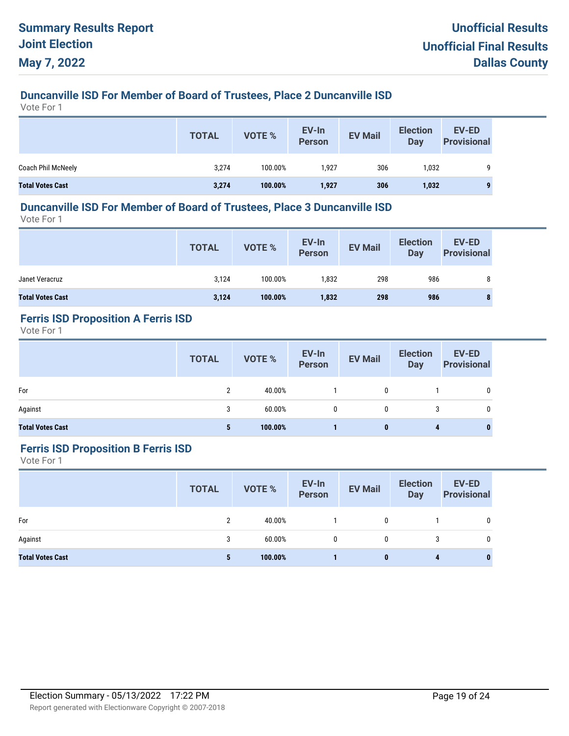# **Duncanville ISD For Member of Board of Trustees, Place 2 Duncanville ISD**

Vote For 1

|                         | <b>TOTAL</b> | <b>VOTE %</b> | EV-In<br><b>Person</b> | <b>EV Mail</b> | <b>Election</b><br>Day | <b>EV-ED</b><br><b>Provisional</b> |
|-------------------------|--------------|---------------|------------------------|----------------|------------------------|------------------------------------|
| Coach Phil McNeely      | 3,274        | 100.00%       | 1,927                  | 306            | 1,032                  | 9                                  |
| <b>Total Votes Cast</b> | 3,274        | 100.00%       | 1,927                  | 306            | 1,032                  | 9                                  |

#### **Duncanville ISD For Member of Board of Trustees, Place 3 Duncanville ISD**

Vote For 1

|                         | <b>TOTAL</b> | VOTE %  | EV-In<br>Person | <b>EV Mail</b> | <b>Election</b><br>Day | <b>EV-ED</b><br><b>Provisional</b> |
|-------------------------|--------------|---------|-----------------|----------------|------------------------|------------------------------------|
| Janet Veracruz          | 3,124        | 100.00% | 1,832           | 298            | 986                    | 8                                  |
| <b>Total Votes Cast</b> | 3,124        | 100.00% | 1,832           | 298            | 986                    | $\bullet$<br>$\bullet$             |

# **Ferris ISD Proposition A Ferris ISD**

Vote For 1

|                         | <b>TOTAL</b> | VOTE %  | EV-In<br>Person | <b>EV Mail</b> | <b>Election</b><br>Day | <b>EV-ED</b><br><b>Provisional</b> |
|-------------------------|--------------|---------|-----------------|----------------|------------------------|------------------------------------|
| For                     | ົ            | 40.00%  |                 | 0              |                        |                                    |
| Against                 | 3            | 60.00%  | $\mathbf{0}$    | $\mathbf{0}$   |                        |                                    |
| <b>Total Votes Cast</b> | 5            | 100.00% |                 | 0              | 4                      | 0                                  |

## **Ferris ISD Proposition B Ferris ISD**

|                         | <b>TOTAL</b> | <b>VOTE %</b> | EV-In<br>Person | <b>EV Mail</b> | <b>Election</b><br>Day | EV-ED<br><b>Provisional</b> |
|-------------------------|--------------|---------------|-----------------|----------------|------------------------|-----------------------------|
| For                     | 2            | 40.00%        |                 | $\mathbf{0}$   |                        | 0                           |
| Against                 | 3            | 60.00%        | $\mathbf{0}$    | 0              | 3                      | 0                           |
| <b>Total Votes Cast</b> | 5            | 100.00%       |                 | $\bf{0}$       | 4                      | 0                           |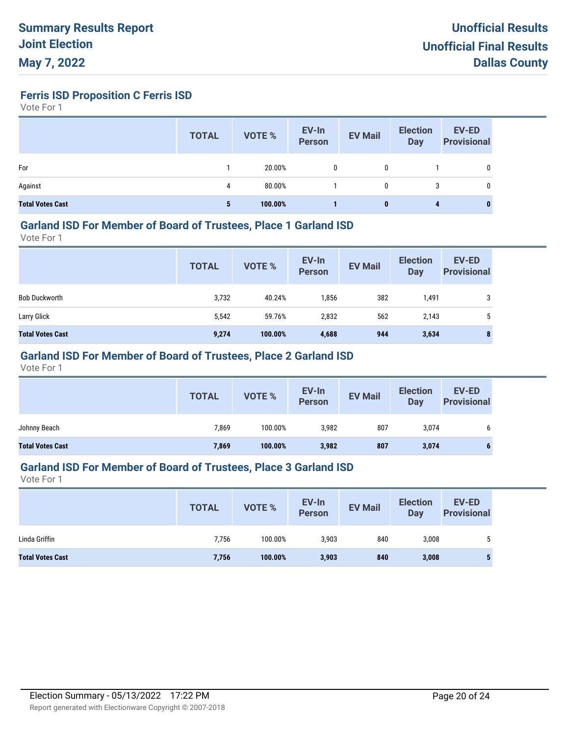**Ferris ISD Proposition C Ferris ISD**

Vote For 1

|                         | <b>TOTAL</b> | <b>VOTE %</b> | EV-In<br>Person | <b>EV Mail</b> | <b>Election</b><br>Day | <b>EV-ED</b><br><b>Provisional</b> |
|-------------------------|--------------|---------------|-----------------|----------------|------------------------|------------------------------------|
| For                     |              | 20.00%        | 0               |                |                        | 0                                  |
| Against                 | 4            | 80.00%        |                 | 0              | 3                      | 0                                  |
| <b>Total Votes Cast</b> | 5            | 100.00%       |                 | 0              | 4                      | 0                                  |

#### **Garland ISD For Member of Board of Trustees, Place 1 Garland ISD**

Vote For 1

|                         | <b>TOTAL</b> | <b>VOTE %</b> | EV-In<br>Person | <b>EV Mail</b> | <b>Election</b><br>Day | <b>EV-ED</b><br><b>Provisional</b> |
|-------------------------|--------------|---------------|-----------------|----------------|------------------------|------------------------------------|
| <b>Bob Duckworth</b>    | 3,732        | 40.24%        | 1,856           | 382            | 1,491                  | 3                                  |
| Larry Glick             | 5,542        | 59.76%        | 2,832           | 562            | 2,143                  | 5                                  |
| <b>Total Votes Cast</b> | 9,274        | 100.00%       | 4,688           | 944            | 3,634                  | 8                                  |

## **Garland ISD For Member of Board of Trustees, Place 2 Garland ISD**

Vote For 1

|                         | <b>TOTAL</b> | VOTE %  | EV-In<br>Person | <b>EV Mail</b> | <b>Election</b><br><b>Day</b> | EV-ED<br><b>Provisional</b> |
|-------------------------|--------------|---------|-----------------|----------------|-------------------------------|-----------------------------|
| Johnny Beach            | 7,869        | 100.00% | 3,982           | 807            | 3,074                         | b                           |
| <b>Total Votes Cast</b> | 7,869        | 100.00% | 3,982           | 807            | 3,074                         |                             |

#### **Garland ISD For Member of Board of Trustees, Place 3 Garland ISD**

|                         | <b>TOTAL</b> | <b>VOTE %</b> | EV-In<br><b>Person</b> | <b>EV Mail</b> | <b>Election</b><br>Day | <b>EV-ED</b><br><b>Provisional</b> |
|-------------------------|--------------|---------------|------------------------|----------------|------------------------|------------------------------------|
| Linda Griffin           | 7,756        | 100.00%       | 3,903                  | 840            | 3,008                  |                                    |
| <b>Total Votes Cast</b> | 7,756        | 100.00%       | 3,903                  | 840            | 3,008                  | Ð                                  |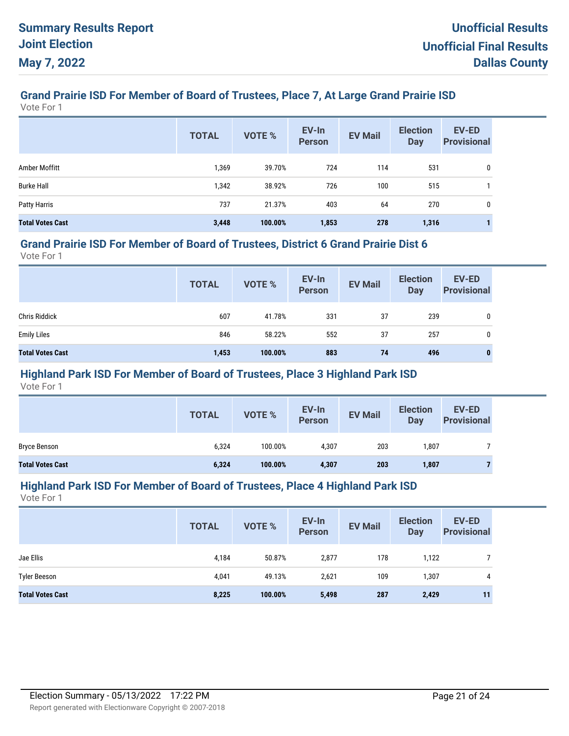# **Grand Prairie ISD For Member of Board of Trustees, Place 7, At Large Grand Prairie ISD**

Vote For 1

|                         | <b>TOTAL</b> | <b>VOTE %</b> | EV-In<br><b>Person</b> | <b>EV Mail</b> | <b>Election</b><br><b>Day</b> | <b>EV-ED</b><br><b>Provisional</b> |
|-------------------------|--------------|---------------|------------------------|----------------|-------------------------------|------------------------------------|
| Amber Moffitt           | 1,369        | 39.70%        | 724                    | 114            | 531                           | 0                                  |
| <b>Burke Hall</b>       | 1,342        | 38.92%        | 726                    | 100            | 515                           |                                    |
| Patty Harris            | 737          | 21.37%        | 403                    | 64             | 270                           | 0                                  |
| <b>Total Votes Cast</b> | 3,448        | 100.00%       | 1,853                  | 278            | 1,316                         |                                    |

#### **Grand Prairie ISD For Member of Board of Trustees, District 6 Grand Prairie Dist 6**

Vote For 1

|                         | <b>TOTAL</b> | VOTE %  | EV-In<br>Person | <b>EV Mail</b> | <b>Election</b><br>Day | <b>EV-ED</b><br><b>Provisional</b> |
|-------------------------|--------------|---------|-----------------|----------------|------------------------|------------------------------------|
| <b>Chris Riddick</b>    | 607          | 41.78%  | 331             | 37             | 239                    | 0                                  |
| <b>Emily Liles</b>      | 846          | 58.22%  | 552             | 37             | 257                    | 0                                  |
| <b>Total Votes Cast</b> | 1,453        | 100.00% | 883             | 74             | 496                    | $\mathbf{0}$                       |

## **Highland Park ISD For Member of Board of Trustees, Place 3 Highland Park ISD**

Vote For 1

|                         | <b>TOTAL</b> | VOTE %  | EV-In<br>Person | <b>EV Mail</b> | <b>Election</b><br>Day | <b>EV-ED</b><br><b>Provisional</b> |
|-------------------------|--------------|---------|-----------------|----------------|------------------------|------------------------------------|
| <b>Bryce Benson</b>     | 6.324        | 100.00% | 4.307           | 203            | .807                   |                                    |
| <b>Total Votes Cast</b> | 6,324        | 100.00% | 4,307           | 203            | 1,807                  |                                    |

#### **Highland Park ISD For Member of Board of Trustees, Place 4 Highland Park ISD**

|                         | <b>TOTAL</b> | VOTE %  | EV-In<br><b>Person</b> | <b>EV Mail</b> | <b>Election</b><br><b>Day</b> | <b>EV-ED</b><br><b>Provisional</b> |
|-------------------------|--------------|---------|------------------------|----------------|-------------------------------|------------------------------------|
| Jae Ellis               | 4,184        | 50.87%  | 2,877                  | 178            | 1,122                         |                                    |
| <b>Tyler Beeson</b>     | 4,041        | 49.13%  | 2,621                  | 109            | 1,307                         | 4                                  |
| <b>Total Votes Cast</b> | 8,225        | 100.00% | 5,498                  | 287            | 2,429                         | 11                                 |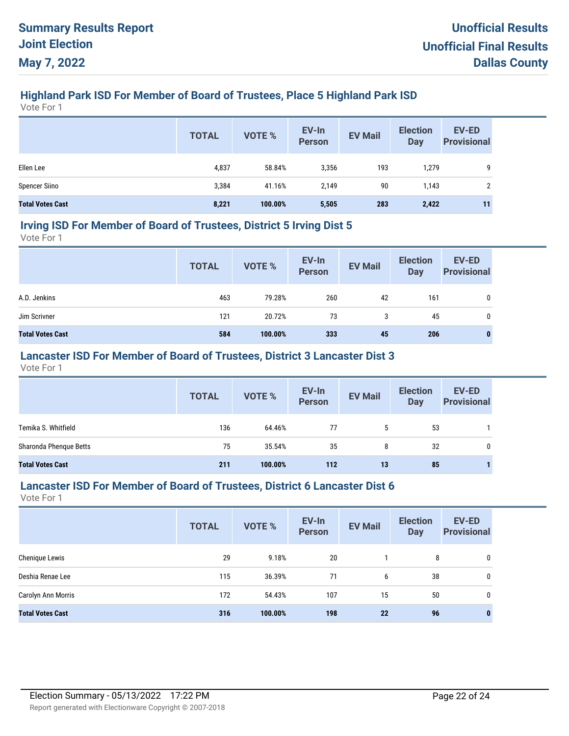# **Highland Park ISD For Member of Board of Trustees, Place 5 Highland Park ISD**

Vote For 1

|                         | <b>TOTAL</b> | <b>VOTE %</b> | EV-In<br>Person | <b>EV Mail</b> | <b>Election</b><br>Day | <b>EV-ED</b><br><b>Provisional</b> |
|-------------------------|--------------|---------------|-----------------|----------------|------------------------|------------------------------------|
| Ellen Lee               | 4,837        | 58.84%        | 3,356           | 193            | 1,279                  | 9                                  |
| <b>Spencer Siino</b>    | 3,384        | 41.16%        | 2,149           | 90             | 1,143                  | ŋ                                  |
| <b>Total Votes Cast</b> | 8,221        | 100.00%       | 5,505           | 283            | 2,422                  | 11                                 |

#### **Irving ISD For Member of Board of Trustees, District 5 Irving Dist 5**

Vote For 1

|                         | <b>TOTAL</b> | VOTE %  | EV-In<br>Person | <b>EV Mail</b> | <b>Election</b><br><b>Day</b> | <b>EV-ED</b><br><b>Provisional</b> |
|-------------------------|--------------|---------|-----------------|----------------|-------------------------------|------------------------------------|
| A.D. Jenkins            | 463          | 79.28%  | 260             | 42             | 161                           | 0                                  |
| Jim Scrivner            | 121          | 20.72%  | 73              | 3              | 45                            | 0                                  |
| <b>Total Votes Cast</b> | 584          | 100.00% | 333             | 45             | 206                           | 0                                  |

### **Lancaster ISD For Member of Board of Trustees, District 3 Lancaster Dist 3**

Vote For 1

|                         | <b>TOTAL</b> | <b>VOTE %</b> | EV-In<br>Person | <b>EV Mail</b> | <b>Election</b><br><b>Day</b> | <b>EV-ED</b><br><b>Provisional</b> |
|-------------------------|--------------|---------------|-----------------|----------------|-------------------------------|------------------------------------|
| Temika S. Whitfield     | 136          | 64.46%        | 77              | 5              | 53                            |                                    |
| Sharonda Phenque Betts  | 75           | 35.54%        | 35              | 8              | 32                            | 0                                  |
| <b>Total Votes Cast</b> | 211          | 100.00%       | 112             | 13             | 85                            |                                    |

#### **Lancaster ISD For Member of Board of Trustees, District 6 Lancaster Dist 6**

|                         | <b>TOTAL</b> | VOTE %  | EV-In<br><b>Person</b> | <b>EV Mail</b> | <b>Election</b><br><b>Day</b> | <b>EV-ED</b><br><b>Provisional</b> |
|-------------------------|--------------|---------|------------------------|----------------|-------------------------------|------------------------------------|
| Chenique Lewis          | 29           | 9.18%   | 20                     |                | 8                             | 0                                  |
| Deshia Renae Lee        | 115          | 36.39%  | 71                     | 6              | 38                            | 0                                  |
| Carolyn Ann Morris      | 172          | 54.43%  | 107                    | 15             | 50                            | 0                                  |
| <b>Total Votes Cast</b> | 316          | 100.00% | 198                    | 22             | 96                            | $\bf{0}$                           |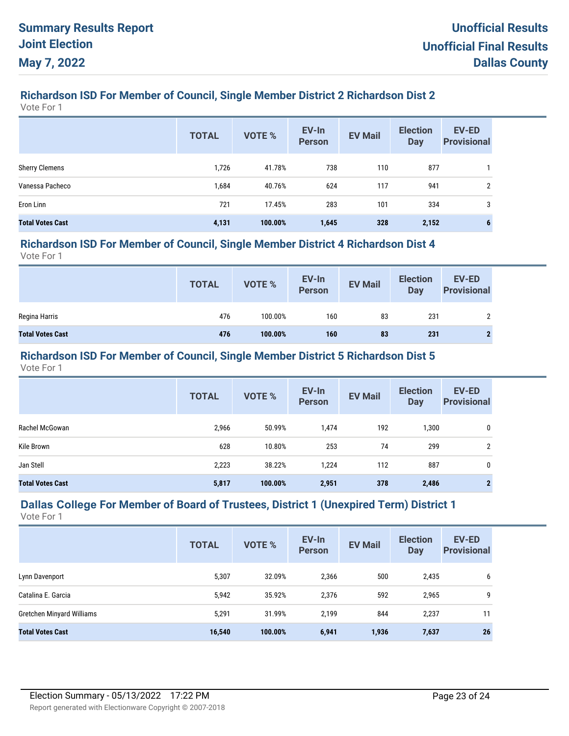# **Richardson ISD For Member of Council, Single Member District 2 Richardson Dist 2**

Vote For 1

|                         | <b>TOTAL</b> | <b>VOTE %</b> | EV-In<br><b>Person</b> | <b>EV Mail</b> | <b>Election</b><br><b>Day</b> | <b>EV-ED</b><br><b>Provisional</b> |
|-------------------------|--------------|---------------|------------------------|----------------|-------------------------------|------------------------------------|
| <b>Sherry Clemens</b>   | 1,726        | 41.78%        | 738                    | 110            | 877                           |                                    |
| Vanessa Pacheco         | 1,684        | 40.76%        | 624                    | 117            | 941                           | $\overline{2}$                     |
| Eron Linn               | 721          | 17.45%        | 283                    | 101            | 334                           | 3                                  |
| <b>Total Votes Cast</b> | 4,131        | 100.00%       | 1,645                  | 328            | 2,152                         | 6                                  |

#### **Richardson ISD For Member of Council, Single Member District 4 Richardson Dist 4**

Vote For 1

|                         | <b>TOTAL</b> | <b>VOTE %</b> | EV-In<br>Person | <b>EV Mail</b> | <b>Election</b><br>Day | <b>EV-ED</b><br><b>Provisional</b> |
|-------------------------|--------------|---------------|-----------------|----------------|------------------------|------------------------------------|
| Regina Harris           | 476          | 100.00%       | 160             | 83             | 231                    | ↑                                  |
| <b>Total Votes Cast</b> | 476          | 100.00%       | 160             | 83             | 231                    |                                    |

## **Richardson ISD For Member of Council, Single Member District 5 Richardson Dist 5**

Vote For 1

|                         | <b>TOTAL</b> | <b>VOTE %</b> | EV-In<br><b>Person</b> | <b>EV Mail</b> | <b>Election</b><br><b>Day</b> | <b>EV-ED</b><br><b>Provisional</b> |
|-------------------------|--------------|---------------|------------------------|----------------|-------------------------------|------------------------------------|
| Rachel McGowan          | 2,966        | 50.99%        | 1,474                  | 192            | 1,300                         | 0                                  |
| Kile Brown              | 628          | 10.80%        | 253                    | 74             | 299                           | $\overline{2}$                     |
| Jan Stell               | 2,223        | 38.22%        | 1,224                  | 112            | 887                           | 0                                  |
| <b>Total Votes Cast</b> | 5,817        | 100.00%       | 2,951                  | 378            | 2,486                         | $\mathbf{2}$                       |

#### **Dallas College For Member of Board of Trustees, District 1 (Unexpired Term) District 1** Vote For 1

|                                  | <b>TOTAL</b> | <b>VOTE %</b> | EV-In<br><b>Person</b> | <b>EV Mail</b> | <b>Election</b><br><b>Day</b> | <b>EV-ED</b><br><b>Provisional</b> |
|----------------------------------|--------------|---------------|------------------------|----------------|-------------------------------|------------------------------------|
| Lynn Davenport                   | 5,307        | 32.09%        | 2,366                  | 500            | 2,435                         | 6                                  |
| Catalina E. Garcia               | 5,942        | 35.92%        | 2,376                  | 592            | 2,965                         | 9                                  |
| <b>Gretchen Minyard Williams</b> | 5,291        | 31.99%        | 2,199                  | 844            | 2,237                         | 11                                 |
| <b>Total Votes Cast</b>          | 16,540       | 100.00%       | 6,941                  | 1,936          | 7,637                         | 26                                 |